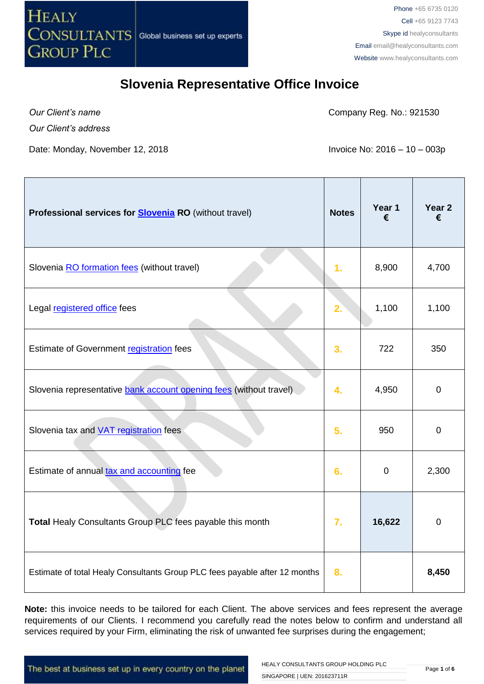

*Our Client's name*

Company Reg. No.: 921530

*Our Client's address*

Date: Monday, November 12, 2018 **Invoice No: 2016 – 10 – 003p** 

| Professional services for <b>Slovenia RO</b> (without travel)              | <b>Notes</b> | Year 1<br>€ | Year 2<br>€ |
|----------------------------------------------------------------------------|--------------|-------------|-------------|
| Slovenia RO formation fees (without travel)                                | 1.           | 8,900       | 4,700       |
| Legal registered office fees                                               | 2.           | 1,100       | 1,100       |
| Estimate of Government registration fees                                   | 3.           | 722         | 350         |
| Slovenia representative bank account opening fees (without travel)         | 4.           | 4,950       | $\mathbf 0$ |
| Slovenia tax and <b>VAT</b> registration fees                              | 5.           | 950         | $\mathbf 0$ |
| Estimate of annual tax and accounting fee                                  | 6.           | $\mathbf 0$ | 2,300       |
| Total Healy Consultants Group PLC fees payable this month                  | 7.           | 16,622      | $\mathbf 0$ |
| Estimate of total Healy Consultants Group PLC fees payable after 12 months | 8.           |             | 8,450       |

**Note:** this invoice needs to be tailored for each Client. The above services and fees represent the average requirements of our Clients. I recommend you carefully read the notes below to confirm and understand all services required by your Firm, eliminating the risk of unwanted fee surprises during the engagement;

The best at business set up in every country on the planet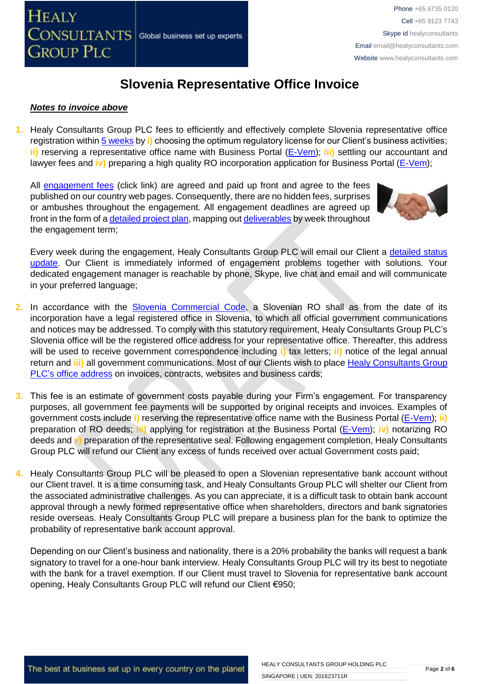#### *Notes to invoice above*

**1.** Healy Consultants Group PLC fees to efficiently and effectively complete Slovenia representative office registration withi[n 5 weeks](http://www.healyconsultants.com/slovenia-company-registration/fees-timelines/#timelines) by **i)** choosing the optimum regulatory license for our Client's business activities; **ii)** reserving a representative office name with Business Portal [\(E-Vem\)](http://evem.gov.si/evem/drzavljani/zacetna.evem); **iii)** settling our accountant and lawyer fees and **iv)** preparing a high quality RO incorporation application for Business Portal [\(E-Vem\)](http://evem.gov.si/evem/drzavljani/zacetna.evem);

All [engagement fees](http://www.healyconsultants.com/company-registration-fees/) (click link) are agreed and paid up front and agree to the fees published on our country web pages. Consequently, there are no hidden fees, surprises or ambushes throughout the engagement. All engagement deadlines are agreed up front in the form of [a detailed project plan,](http://www.healyconsultants.com/index-important-links/example-project-plan/) mapping ou[t deliverables](http://www.healyconsultants.com/deliverables-to-our-clients/) by week throughout the engagement term;



Every week during the engagement, Healy Consultants Group PLC will email our Client a detailed status [update.](http://www.healyconsultants.com/index-important-links/weekly-engagement-status-email/) Our Client is immediately informed of engagement problems together with solutions. Your dedicated engagement manager is reachable by phone, Skype, live chat and email and will communicate in your preferred language;

- 2. In accordance with the [Slovenia Commercial Code,](http://poslovniportal.si/Doing_Business_Slovenia.php) a Slovenian RO shall as from the date of its incorporation have a legal registered office in Slovenia, to which all official government communications and notices may be addressed. To comply with this statutory requirement, Healy Consultants Group PLC's Slovenia office will be the registered office address for your representative office. Thereafter, this address will be used to receive government correspondence including **i)** tax letters; **ii)** notice of the legal annual return and **iii)** all government communications. Most of our Clients wish to place [Healy Consultants Group](http://www.healyconsultants.com/corporate-outsourcing-services/company-secretary-and-legal-registered-office/)  PLC's [office address](http://www.healyconsultants.com/corporate-outsourcing-services/company-secretary-and-legal-registered-office/) on invoices, contracts, websites and business cards;
- **3.** This fee is an estimate of government costs payable during your Firm's engagement. For transparency purposes, all government fee payments will be supported by original receipts and invoices. Examples of government costs include **i)** reserving the representative office name with the Business Portal [\(E-Vem\)](http://evem.gov.si/evem/drzavljani/zacetna.evem); **ii)** preparation of RO deeds; **iii)** applying for registration at the Business Portal [\(E-Vem\)](http://evem.gov.si/evem/drzavljani/zacetna.evem); **iv)** notarizing RO deeds and **v)** preparation of the representative seal. Following engagement completion, Healy Consultants Group PLC will refund our Client any excess of funds received over actual Government costs paid;
- **4.** Healy Consultants Group PLC will be pleased to open a Slovenian representative bank account without our Client travel. It is a time consuming task, and Healy Consultants Group PLC will shelter our Client from the associated administrative challenges. As you can appreciate, it is a difficult task to obtain bank account approval through a newly formed representative office when shareholders, directors and bank signatories reside overseas. Healy Consultants Group PLC will prepare a business plan for the bank to optimize the probability of representative bank account approval.

Depending on our Client's business and nationality, there is a 20% probability the banks will request a bank signatory to travel for a one-hour bank interview. Healy Consultants Group PLC will try its best to negotiate with the bank for a travel exemption. If our Client must travel to Slovenia for representative bank account opening, Healy Consultants Group PLC will refund our Client €950;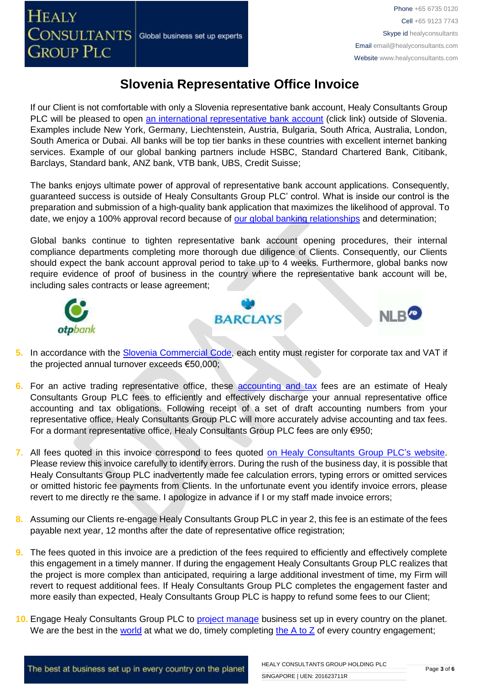If our Client is not comfortable with only a Slovenia representative bank account, Healy Consultants Group PLC will be pleased to open [an international representative bank account](http://www.healyconsultants.com/international-banking/) (click link) outside of Slovenia. Examples include New York, Germany, Liechtenstein, Austria, Bulgaria, South Africa, Australia, London, South America or Dubai. All banks will be top tier banks in these countries with excellent internet banking services. Example of our global banking partners include HSBC, Standard Chartered Bank, Citibank, Barclays, Standard bank, ANZ bank, VTB bank, UBS, Credit Suisse;

The banks enjoys ultimate power of approval of representative bank account applications. Consequently, guaranteed success is outside of Healy Consultants Group PLC' control. What is inside our control is the preparation and submission of a high-quality bank application that maximizes the likelihood of approval. To date, we enjoy a 100% approval record because of [our global banking relationships](http://www.healyconsultants.com/international-banking/corporate-accounts/) and determination;

Global banks continue to tighten representative bank account opening procedures, their internal compliance departments completing more thorough due diligence of Clients. Consequently, our Clients should expect the bank account approval period to take up to 4 weeks. Furthermore, global banks now require evidence of proof of business in the country where the representative bank account will be, including sales contracts or lease agreement;



- **5.** In accordance with the [Slovenia Commercial Code,](http://poslovniportal.si/Doing_Business_Slovenia.php) each entity must register for corporate tax and VAT if the projected annual turnover exceeds €50,000;
- **6.** For an active trading representative office, these [accounting and tax](http://www.healyconsultants.com/slovenia-company-registration/accounting-legal/) fees are an estimate of Healy Consultants Group PLC fees to efficiently and effectively discharge your annual representative office accounting and tax obligations. Following receipt of a set of draft accounting numbers from your representative office, Healy Consultants Group PLC will more accurately advise accounting and tax fees. For a dormant representative office, Healy Consultants Group PLC fees are only €950;
- **7.** All fees quoted in this invoice correspond to fees quoted [on Healy Consultants Group PLC's](http://www.healyconsultants.com/company-registration-fees/) website. Please review this invoice carefully to identify errors. During the rush of the business day, it is possible that Healy Consultants Group PLC inadvertently made fee calculation errors, typing errors or omitted services or omitted historic fee payments from Clients. In the unfortunate event you identify invoice errors, please revert to me directly re the same. I apologize in advance if I or my staff made invoice errors;
- **8.** Assuming our Clients re-engage Healy Consultants Group PLC in year 2, this fee is an estimate of the fees payable next year, 12 months after the date of representative office registration;
- **9.** The fees quoted in this invoice are a prediction of the fees required to efficiently and effectively complete this engagement in a timely manner. If during the engagement Healy Consultants Group PLC realizes that the project is more complex than anticipated, requiring a large additional investment of time, my Firm will revert to request additional fees. If Healy Consultants Group PLC completes the engagement faster and more easily than expected, Healy Consultants Group PLC is happy to refund some fees to our Client;
- **10.** Engage Healy Consultants Group PLC to [project manage](http://www.healyconsultants.com/project-manage-engagements/) business set up in every country on the planet. We are the best in the [world](http://www.healyconsultants.com/best-in-the-world/) at what we do, timely completing the  $A$  to  $Z$  of every country engagement;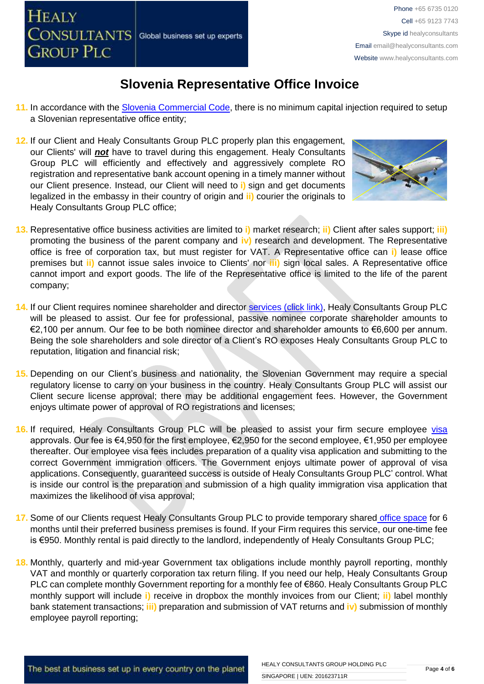

- **11.** In accordance with the [Slovenia Commercial Code,](http://poslovniportal.si/Doing_Business_Slovenia.php) there is no minimum capital injection required to setup a Slovenian representative office entity;
- **12.** If our Client and Healy Consultants Group PLC properly plan this engagement, our Clients' will *not* have to travel during this engagement. Healy Consultants Group PLC will efficiently and effectively and aggressively complete RO registration and representative bank account opening in a timely manner without our Client presence. Instead, our Client will need to **i)** sign and get documents legalized in the embassy in their country of origin and **ii)** courier the originals to Healy Consultants Group PLC office;



- **13.** Representative office business activities are limited to **i)** market research; **ii)** Client after sales support; **iii)** promoting the business of the parent company and **iv)** research and development. The Representative office is free of corporation tax, but must register for VAT. A Representative office can **i)** lease office premises but **ii)** cannot issue sales invoice to Clients' nor **iii)** sign local sales. A Representative office cannot import and export goods. The life of the Representative office is limited to the life of the parent company;
- **14.** If our Client requires nominee shareholder and director services [\(click link\),](http://www.healyconsultants.com/corporate-outsourcing-services/nominee-shareholders-directors/) Healy Consultants Group PLC will be pleased to assist. Our fee for professional, passive nominee corporate shareholder amounts to €2,100 per annum. Our fee to be both nominee director and shareholder amounts to €6,600 per annum. Being the sole shareholders and sole director of a Client's RO exposes Healy Consultants Group PLC to reputation, litigation and financial risk;
- **15.** Depending on our Client's business and nationality, the Slovenian Government may require a special regulatory license to carry on your business in the country. Healy Consultants Group PLC will assist our Client secure license approval; there may be additional engagement fees. However, the Government enjoys ultimate power of approval of RO registrations and licenses;
- **16.** If required, Healy Consultants Group PLC will be pleased to assist your firm secure employee [visa](http://www.healyconsultants.com/support-services/) approvals. Our fee is €4,950 for the first employee, €2,950 for the second employee, €1,950 per employee thereafter. Our employee visa fees includes preparation of a quality visa application and submitting to the correct Government immigration officers. The Government enjoys ultimate power of approval of visa applications. Consequently, guaranteed success is outside of Healy Consultants Group PLC' control. What is inside our control is the preparation and submission of a high quality immigration visa application that maximizes the likelihood of visa approval;
- 17. Some of our Clients request Healy Consultants Group PLC to provide temporary shared [office space](http://www.healyconsultants.com/virtual-office/) for 6 months until their preferred business premises is found. If your Firm requires this service, our one-time fee is €950. Monthly rental is paid directly to the landlord, independently of Healy Consultants Group PLC;
- **18.** Monthly, quarterly and mid-year Government tax obligations include monthly payroll reporting, monthly VAT and monthly or quarterly corporation tax return filing. If you need our help, Healy Consultants Group PLC can complete monthly Government reporting for a monthly fee of €860. Healy Consultants Group PLC monthly support will include **i)** receive in dropbox the monthly invoices from our Client; **ii)** label monthly bank statement transactions; **iii)** preparation and submission of VAT returns and **iv)** submission of monthly employee payroll reporting;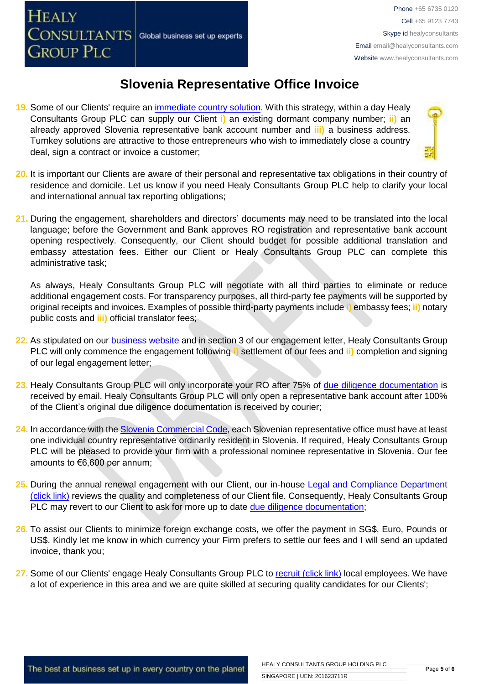- **19.** Some of our Clients' require an [immediate country solution.](http://www.healyconsultants.com/turnkey-solutions/) With this strategy, within a day Healy Consultants Group PLC can supply our Client **i)** an existing dormant company number; **ii)** an already approved Slovenia representative bank account number and **iii)** a business address. Turnkey solutions are attractive to those entrepreneurs who wish to immediately close a country deal, sign a contract or invoice a customer;
- 
- **20.** It is important our Clients are aware of their personal and representative tax obligations in their country of residence and domicile. Let us know if you need Healy Consultants Group PLC help to clarify your local and international annual tax reporting obligations;
- **21.** During the engagement, shareholders and directors' documents may need to be translated into the local language; before the Government and Bank approves RO registration and representative bank account opening respectively. Consequently, our Client should budget for possible additional translation and embassy attestation fees. Either our Client or Healy Consultants Group PLC can complete this administrative task;

As always, Healy Consultants Group PLC will negotiate with all third parties to eliminate or reduce additional engagement costs. For transparency purposes, all third-party fee payments will be supported by original receipts and invoices. Examples of possible third-party payments include **i)** embassy fees; **ii)** notary public costs and **iii)** official translator fees;

- **22.** As stipulated on our [business website](http://www.healyconsultants.com/) and in section 3 of our engagement letter, Healy Consultants Group PLC will only commence the engagement following **i)** settlement of our fees and **ii)** completion and signing of our legal engagement letter;
- **23.** Healy Consultants Group PLC will only incorporate your RO after 75% of [due diligence documentation](http://www.healyconsultants.com/due-diligence/) is received by email. Healy Consultants Group PLC will only open a representative bank account after 100% of the Client's original due diligence documentation is received by courier;
- **24.** In accordance with the [Slovenia Commercial Code,](http://poslovniportal.si/Doing_Business_Slovenia.php) each Slovenian representative office must have at least one individual country representative ordinarily resident in Slovenia. If required, Healy Consultants Group PLC will be pleased to provide your firm with a professional nominee representative in Slovenia. Our fee amounts to €6,600 per annum;
- 25. During the annual renewal engagement with our Client, our in-house Legal and Compliance Department [\(click link\)](http://www.healyconsultants.com/about-us/key-personnel/cai-xin-profile/) reviews the quality and completeness of our Client file. Consequently, Healy Consultants Group PLC may revert to our Client to ask for more up to date [due diligence documentation;](http://www.healyconsultants.com/due-diligence/)
- **26.** To assist our Clients to minimize foreign exchange costs, we offer the payment in SG\$, Euro, Pounds or US\$. Kindly let me know in which currency your Firm prefers to settle our fees and I will send an updated invoice, thank you;
- 27. Some of our Clients' engage Healy Consultants Group PLC t[o recruit \(click link\)](http://www.healyconsultants.com/corporate-outsourcing-services/how-we-help-our-clients-recruit-quality-employees/) local employees. We have a lot of experience in this area and we are quite skilled at securing quality candidates for our Clients';